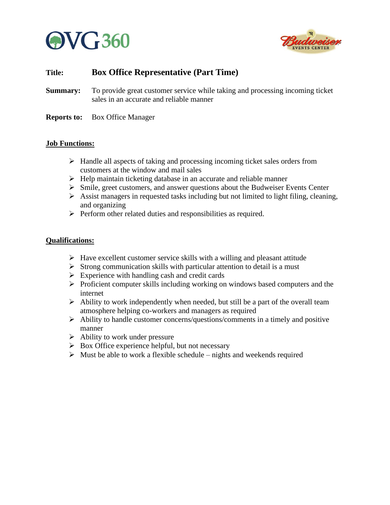



# **Title: Box Office Representative (Part Time)**

- **Summary:** To provide great customer service while taking and processing incoming ticket sales in an accurate and reliable manner
- **Reports to:** Box Office Manager

#### **Job Functions:**

- ➢ Handle all aspects of taking and processing incoming ticket sales orders from customers at the window and mail sales
- ➢ Help maintain ticketing database in an accurate and reliable manner
- ➢ Smile, greet customers, and answer questions about the Budweiser Events Center
- ➢ Assist managers in requested tasks including but not limited to light filing, cleaning, and organizing
- ➢ Perform other related duties and responsibilities as required.

## **Qualifications:**

- $\triangleright$  Have excellent customer service skills with a willing and pleasant attitude
- $\triangleright$  Strong communication skills with particular attention to detail is a must
- $\triangleright$  Experience with handling cash and credit cards
- ➢ Proficient computer skills including working on windows based computers and the internet
- $\triangleright$  Ability to work independently when needed, but still be a part of the overall team atmosphere helping co-workers and managers as required
- ➢ Ability to handle customer concerns/questions/comments in a timely and positive manner
- $\triangleright$  Ability to work under pressure
- $\triangleright$  Box Office experience helpful, but not necessary
- $\triangleright$  Must be able to work a flexible schedule nights and weekends required